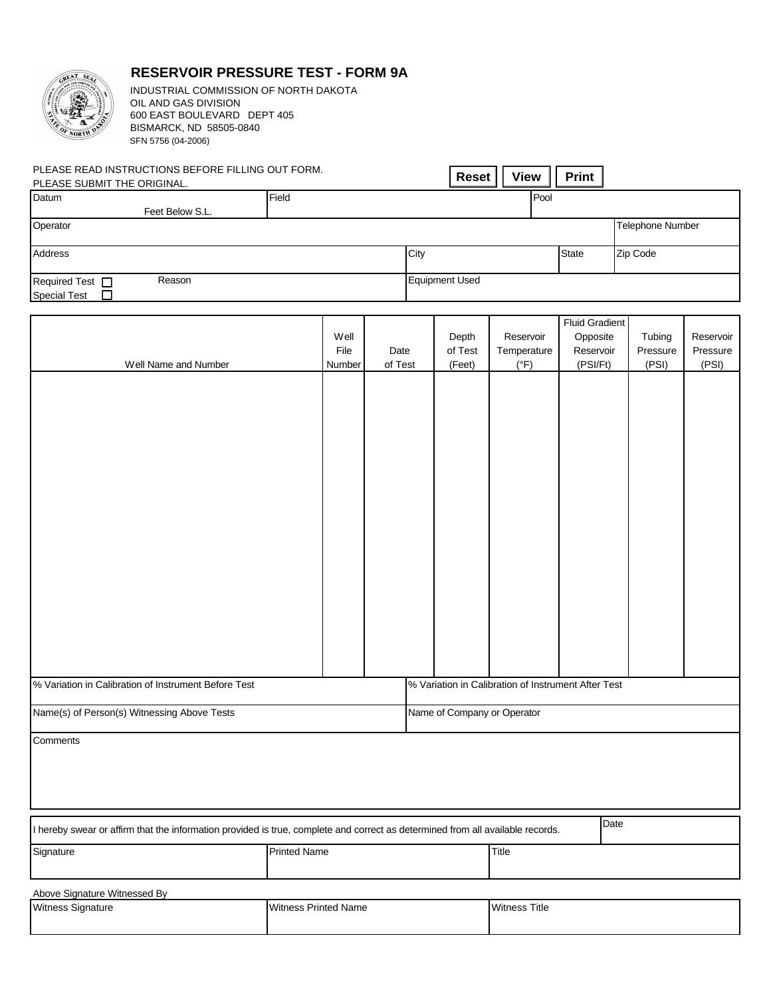

## **RESERVOIR PRESSURE TEST - FORM 9A**

INDUSTRIAL COMMISSION OF NORTH DAKOTA OIL AND GAS DIVISION 600 EAST BOULEVARD DEPT 405 SFN 5756 (04-2006) BISMARCK, ND 58505-0840

| PLEASE READ INSTRUCTIONS BEFORE FILLING OUT FORM. |                 |       |      |                       | <b>View</b> |              |                         |
|---------------------------------------------------|-----------------|-------|------|-----------------------|-------------|--------------|-------------------------|
| PLEASE SUBMIT THE ORIGINAL.                       |                 |       |      | <b>Reset</b>          |             | <b>Print</b> |                         |
| Datum                                             |                 | Field |      |                       | <b>Pool</b> |              |                         |
|                                                   | Feet Below S.L. |       |      |                       |             |              |                         |
| Operator                                          |                 |       |      |                       |             |              | <b>Telephone Number</b> |
|                                                   |                 |       |      |                       |             |              |                         |
| <b>Address</b>                                    |                 |       | City |                       |             | <b>State</b> | Zip Code                |
|                                                   |                 |       |      |                       |             |              |                         |
| Required Test $\Box$                              | Reason          |       |      | <b>Equipment Used</b> |             |              |                         |
| <b>Special Test</b>                               |                 |       |      |                       |             |              |                         |

|                                                                                                                                |                     |                             |         |               | <b>Fluid Gradient</b> |          |           |  |  |  |  |
|--------------------------------------------------------------------------------------------------------------------------------|---------------------|-----------------------------|---------|---------------|-----------------------|----------|-----------|--|--|--|--|
|                                                                                                                                | Well                |                             | Depth   | Reservoir     | Opposite              | Tubing   | Reservoir |  |  |  |  |
|                                                                                                                                | File                | Date                        | of Test | Temperature   | Reservoir             | Pressure | Pressure  |  |  |  |  |
| Well Name and Number                                                                                                           | Number              | of Test                     | (Feet)  | $(^{\circ}F)$ | (PSI/Ft)              | (PSI)    | (PSI)     |  |  |  |  |
|                                                                                                                                |                     |                             |         |               |                       |          |           |  |  |  |  |
|                                                                                                                                |                     |                             |         |               |                       |          |           |  |  |  |  |
|                                                                                                                                |                     |                             |         |               |                       |          |           |  |  |  |  |
|                                                                                                                                |                     |                             |         |               |                       |          |           |  |  |  |  |
|                                                                                                                                |                     |                             |         |               |                       |          |           |  |  |  |  |
|                                                                                                                                |                     |                             |         |               |                       |          |           |  |  |  |  |
|                                                                                                                                |                     |                             |         |               |                       |          |           |  |  |  |  |
|                                                                                                                                |                     |                             |         |               |                       |          |           |  |  |  |  |
|                                                                                                                                |                     |                             |         |               |                       |          |           |  |  |  |  |
|                                                                                                                                |                     |                             |         |               |                       |          |           |  |  |  |  |
|                                                                                                                                |                     |                             |         |               |                       |          |           |  |  |  |  |
|                                                                                                                                |                     |                             |         |               |                       |          |           |  |  |  |  |
|                                                                                                                                |                     |                             |         |               |                       |          |           |  |  |  |  |
|                                                                                                                                |                     |                             |         |               |                       |          |           |  |  |  |  |
|                                                                                                                                |                     |                             |         |               |                       |          |           |  |  |  |  |
|                                                                                                                                |                     |                             |         |               |                       |          |           |  |  |  |  |
|                                                                                                                                |                     |                             |         |               |                       |          |           |  |  |  |  |
|                                                                                                                                |                     |                             |         |               |                       |          |           |  |  |  |  |
|                                                                                                                                |                     |                             |         |               |                       |          |           |  |  |  |  |
| % Variation in Calibration of Instrument Before Test<br>% Variation in Calibration of Instrument After Test                    |                     |                             |         |               |                       |          |           |  |  |  |  |
|                                                                                                                                |                     |                             |         |               |                       |          |           |  |  |  |  |
| Name(s) of Person(s) Witnessing Above Tests                                                                                    |                     | Name of Company or Operator |         |               |                       |          |           |  |  |  |  |
|                                                                                                                                |                     |                             |         |               |                       |          |           |  |  |  |  |
| Comments                                                                                                                       |                     |                             |         |               |                       |          |           |  |  |  |  |
|                                                                                                                                |                     |                             |         |               |                       |          |           |  |  |  |  |
|                                                                                                                                |                     |                             |         |               |                       |          |           |  |  |  |  |
|                                                                                                                                |                     |                             |         |               |                       |          |           |  |  |  |  |
|                                                                                                                                |                     |                             |         |               |                       |          |           |  |  |  |  |
| I hereby swear or affirm that the information provided is true, complete and correct as determined from all available records. | Date                |                             |         |               |                       |          |           |  |  |  |  |
| Signature                                                                                                                      | <b>Printed Name</b> |                             |         | Title         |                       |          |           |  |  |  |  |
|                                                                                                                                |                     |                             |         |               |                       |          |           |  |  |  |  |
|                                                                                                                                |                     |                             |         |               |                       |          |           |  |  |  |  |
| Above Signature Witnessed By                                                                                                   |                     |                             |         |               |                       |          |           |  |  |  |  |

Witness Signature **Witness Printed Name** Witness Printed Name **Witness Title**